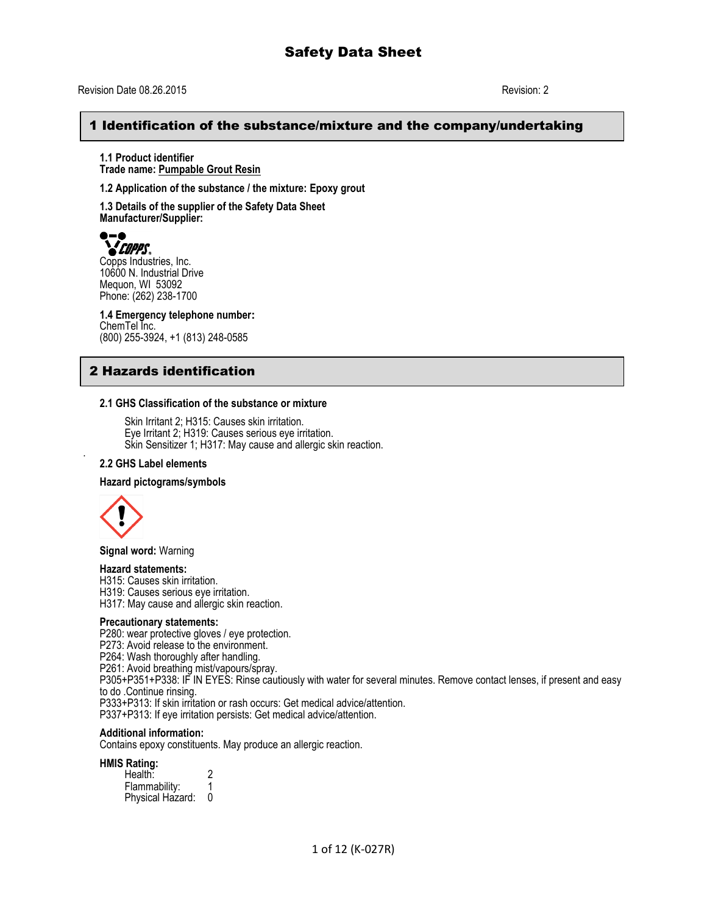## 1 Identification of the substance/mixture and the company/undertaking

**1.1 Product identifier Trade name: Pumpable Grout Resin**

**1.2 Application of the substance / the mixture: Epoxy grout**

**1.3 Details of the supplier of the Safety Data Sheet Manufacturer/Supplier:**



**COPPS**<br>Copps Industries, Inc. 10600 N. Industrial Drive Mequon, WI 53092 Phone: (262) 238-1700

**1.4 Emergency telephone number:** ChemTel Inc. (800) 255-3924, +1 (813) 248-0585

## 2 Hazards identification

#### **2.1 GHS Classification of the substance or mixture**

Skin Irritant 2; H315: Causes skin irritation. Eye Irritant 2; H319: Causes serious eye irritation. Skin Sensitizer 1; H317: May cause and allergic skin reaction.

#### **2.2 GHS Label elements**

#### **Hazard pictograms/symbols**



.

**Signal word:** Warning

## **Hazard statements:**

H315: Causes skin irritation.

H319: Causes serious eye irritation.

H317: May cause and allergic skin reaction.

## **Precautionary statements:**

P280: wear protective gloves / eye protection.

P273: Avoid release to the environment.

P264: Wash thoroughly after handling.

P261: Avoid breathing mist/vapours/spray.

P305+P351+P338: IF IN EYES: Rinse cautiously with water for several minutes. Remove contact lenses, if present and easy to do .Continue rinsing.

P333+P313: If skin irritation or rash occurs: Get medical advice/attention. P337+P313: If eye irritation persists: Get medical advice/attention.

#### **Additional information:**

Contains epoxy constituents. May produce an allergic reaction.

#### **HMIS Rating:**

| Health:          |   |
|------------------|---|
| Flammability:    |   |
| Physical Hazard: | 0 |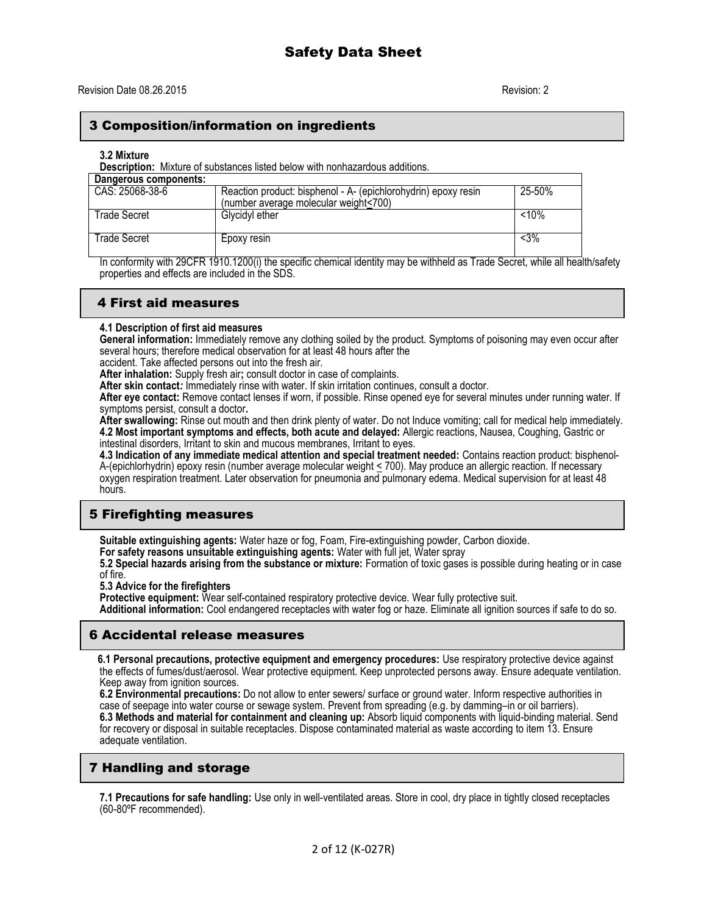## 3 Composition/information on ingredients

#### **3.2 Mixture**

**Description:** Mixture of substances listed below with nonhazardous additions.

| Dangerous components: |                                                                |        |
|-----------------------|----------------------------------------------------------------|--------|
| CAS: 25068-38-6       | Reaction product: bisphenol - A- (epichlorohydrin) epoxy resin | 25-50% |
|                       | (number average molecular weight<700)                          |        |
| Trade Secret          | Glycidyl ether                                                 | < 10%  |
|                       |                                                                |        |
| Trade Secret          | Epoxy resin                                                    | $<$ 3% |
|                       |                                                                |        |

In conformity with 29CFR 1910.1200(i) the specific chemical identity may be withheld as Trade Secret, while all health/safety properties and effects are included in the SDS.

## 4 First aid measures

#### **4.1 Description of first aid measures**

**General information:** Immediately remove any clothing soiled by the product. Symptoms of poisoning may even occur after several hours; therefore medical observation for at least 48 hours after the

accident. Take affected persons out into the fresh air.

**After inhalation:** Supply fresh air**;** consult doctor in case of complaints.

**After skin contact***:* Immediately rinse with water. If skin irritation continues, consult a doctor.

**After eye contact:** Remove contact lenses if worn, if possible. Rinse opened eye for several minutes under running water. If symptoms persist, consult a doctor**.**

**After swallowing:** Rinse out mouth and then drink plenty of water. Do not Induce vomiting; call for medical help immediately. **4.2 Most important symptoms and effects, both acute and delayed:** Allergic reactions, Nausea, Coughing, Gastric or intestinal disorders, Irritant to skin and mucous membranes, Irritant to eyes.

**4.3 Indication of any immediate medical attention and special treatment needed:** Contains reaction product: bisphenol-A-(epichlorhydrin) epoxy resin (number average molecular weight < 700). May produce an allergic reaction. If necessary oxygen respiration treatment. Later observation for pneumonia and pulmonary edema. Medical supervision for at least 48 hours.

## **5 Firefighting measures**

**Suitable extinguishing agents:** Water haze or fog, Foam, Fire-extinguishing powder, Carbon dioxide.

**For safety reasons unsuitable extinguishing agents:** Water with full jet, Water spray

**5.2 Special hazards arising from the substance or mixture:** Formation of toxic gases is possible during heating or in case of fire.

**5.3 Advice for the firefighters**

**Protective equipment:** Wear self-contained respiratory protective device. Wear fully protective suit.

**Additional information:** Cool endangered receptacles with water fog or haze. Eliminate all ignition sources if safe to do so.

## 6 Accidental release measures

 **6.1 Personal precautions, protective equipment and emergency procedures:** Use respiratory protective device against the effects of fumes/dust/aerosol. Wear protective equipment. Keep unprotected persons away. Ensure adequate ventilation. Keep away from ignition sources.

**6.2 Environmental precautions:** Do not allow to enter sewers/ surface or ground water. Inform respective authorities in case of seepage into water course or sewage system. Prevent from spreading (e.g. by damming–in or oil barriers). **6.3 Methods and material for containment and cleaning up:** Absorb liquid components with liquid-binding material. Send for recovery or disposal in suitable receptacles. Dispose contaminated material as waste according to item 13. Ensure adequate ventilation.

## 7 Handling and storage

**7.1 Precautions for safe handling:** Use only in well-ventilated areas. Store in cool, dry place in tightly closed receptacles (60-80ºF recommended).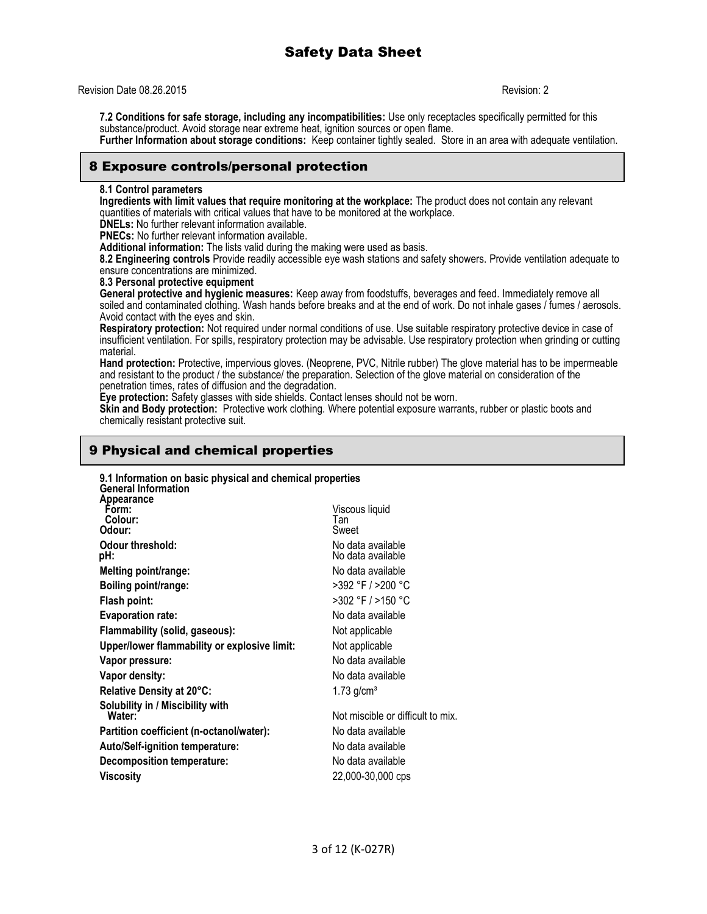#### Revision Date 08.26.2015 Revision: 2

**7.2 Conditions for safe storage, including any incompatibilities:** Use only receptacles specifically permitted for this substance/product. Avoid storage near extreme heat, ignition sources or open flame. **Further Information about storage conditions:** Keep container tightly sealed. Store in an area with adequate ventilation.

## 8 Exposure controls/personal protection

#### **8.1 Control parameters**

**Ingredients with limit values that require monitoring at the workplace:** The product does not contain any relevant quantities of materials with critical values that have to be monitored at the workplace.

**DNELs:** No further relevant information available.

**PNECs:** No further relevant information available.

**Additional information:** The lists valid during the making were used as basis.

**8.2 Engineering controls** Provide readily accessible eye wash stations and safety showers. Provide ventilation adequate to ensure concentrations are minimized.

**8.3 Personal protective equipment**

**General protective and hygienic measures:** Keep away from foodstuffs, beverages and feed. Immediately remove all soiled and contaminated clothing. Wash hands before breaks and at the end of work. Do not inhale gases / fumes / aerosols. Avoid contact with the eyes and skin.

**Respiratory protection:** Not required under normal conditions of use. Use suitable respiratory protective device in case of insufficient ventilation. For spills, respiratory protection may be advisable. Use respiratory protection when grinding or cutting material.

**Hand protection:** Protective, impervious gloves. (Neoprene, PVC, Nitrile rubber) The glove material has to be impermeable and resistant to the product / the substance/ the preparation. Selection of the glove material on consideration of the penetration times, rates of diffusion and the degradation.

**Eye protection:** Safety glasses with side shields. Contact lenses should not be worn.

**Skin and Body protection:** Protective work clothing. Where potential exposure warrants, rubber or plastic boots and chemically resistant protective suit.

## 9 Physical and chemical properties

| 9.1 Information on basic physical and chemical properties<br><b>General Information</b> |                                        |
|-----------------------------------------------------------------------------------------|----------------------------------------|
| Appearance<br>Form:<br>Colour:<br>Odour:                                                | Viscous liquid<br>Tan<br>Sweet         |
| <b>Odour threshold:</b><br>pH:                                                          | No data available<br>No data available |
| Melting point/range:                                                                    | No data available                      |
| Boiling point/range:                                                                    | >392 °F / >200 °C                      |
| Flash point:                                                                            | >302 °F / >150 °C                      |
| <b>Evaporation rate:</b>                                                                | No data available                      |
| Flammability (solid, gaseous):                                                          | Not applicable                         |
| Upper/lower flammability or explosive limit:                                            | Not applicable                         |
| Vapor pressure:                                                                         | No data available                      |
| Vapor density:                                                                          | No data available                      |
| Relative Density at 20°C:                                                               | $1.73$ g/cm <sup>3</sup>               |
| Solubility in / Miscibility with<br>Water:                                              | Not miscible or difficult to mix.      |
| Partition coefficient (n-octanol/water):                                                | No data available                      |
| <b>Auto/Self-ignition temperature:</b>                                                  | No data available                      |
| Decomposition temperature:                                                              | No data available                      |
| Viscosity                                                                               | 22,000-30,000 cps                      |
|                                                                                         |                                        |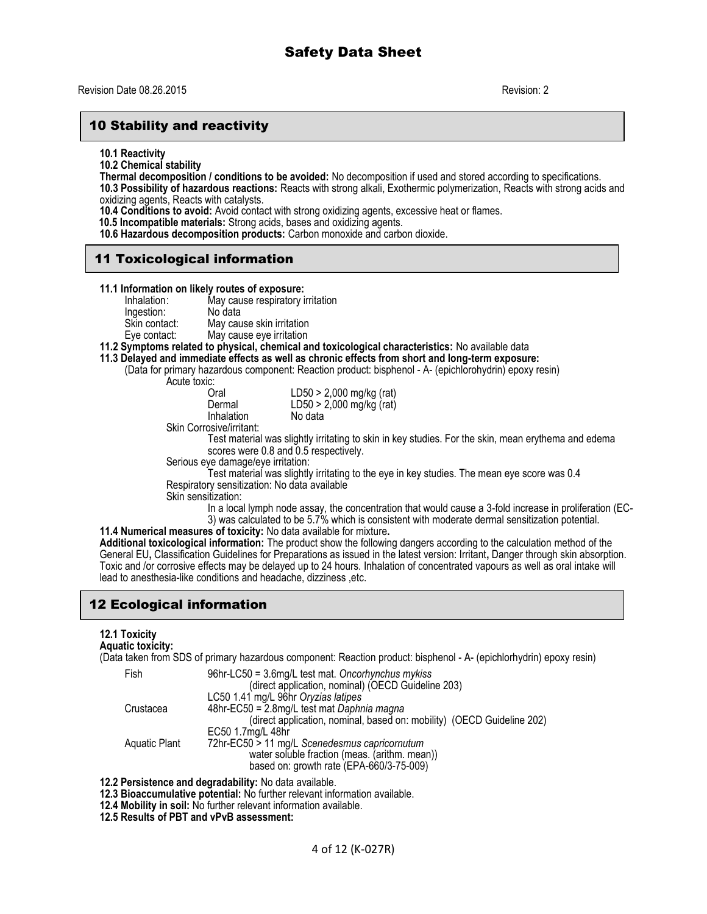## 10 Stability and reactivity

**10.1 Reactivity**

**10.2 Chemical stability**

**Thermal decomposition / conditions to be avoided:** No decomposition if used and stored according to specifications.

**10.3 Possibility of hazardous reactions:** Reacts with strong alkali, Exothermic polymerization, Reacts with strong acids and oxidizing agents, Reacts with catalysts.

**10.4 Conditions to avoid:** Avoid contact with strong oxidizing agents, excessive heat or flames.

 **10.5 Incompatible materials:** Strong acids, bases and oxidizing agents.

**10.6 Hazardous decomposition products:** Carbon monoxide and carbon dioxide.

## 11 Toxicological information

#### **11.1 Information on likely routes of exposure:**

Inhalation: May cause respiratory irritation Ingestion:<br>Skin contact: Skin contact: May cause skin irritation<br>
Eye contact: May cause eye irritation

- May cause eye irritation
- **11.2 Symptoms related to physical, chemical and toxicological characteristics:** No available data
- **11.3 Delayed and immediate effects as well as chronic effects from short and long-term exposure:**  (Data for primary hazardous component: Reaction product: bisphenol - A- (epichlorohydrin) epoxy resin)

Acute toxic:<br>Oral

 $LD50 > 2,000$  mg/kg (rat) Dermal LD50 > 2,000 mg/kg (rat)<br>Inhalation No data

Skin Corrosive/irritant:

**Inhalation** 

Test material was slightly irritating to skin in key studies. For the skin, mean erythema and edema scores were 0.8 and 0.5 respectively.

Serious eye damage/eye irritation:

Test material was slightly irritating to the eye in key studies. The mean eye score was 0.4 Respiratory sensitization: No data available

Skin sensitization:

In a local lymph node assay, the concentration that would cause a 3-fold increase in proliferation (EC-3) was calculated to be 5.7% which is consistent with moderate dermal sensitization potential.

**11.4 Numerical measures of toxicity:** No data available for mixture**.**

**Additional toxicological information:** The product show the following dangers according to the calculation method of the General EU**,** Classification Guidelines for Preparations as issued in the latest version: Irritant**,** Danger through skin absorption. Toxic and /or corrosive effects may be delayed up to 24 hours. Inhalation of concentrated vapours as well as oral intake will lead to anesthesia-like conditions and headache, dizziness ,etc.

## 12 Ecological information

## **12.1 Toxicity**

**Aquatic toxicity:**

(Data taken from SDS of primary hazardous component: Reaction product: bisphenol - A- (epichlorhydrin) epoxy resin)

| Fish          | 96hr-LC50 = 3.6mg/L test mat. Oncorhynchus mykiss                      |
|---------------|------------------------------------------------------------------------|
|               | (direct application, nominal) (OECD Guideline 203)                     |
|               | LC50 1.41 mg/L 96hr Oryzias latipes                                    |
| Crustacea     | 48hr-EC50 = 2.8mg/L test mat Daphnia magna                             |
|               | (direct application, nominal, based on: mobility) (OECD Guideline 202) |
|               | EC50 1.7mg/L 48hr                                                      |
| Aquatic Plant | 72hr-EC50 > 11 mg/L Scenedesmus capricornutum                          |
|               | water soluble fraction (meas. (arithm. mean))                          |
|               | based on: growth rate (EPA-660/3-75-009)                               |

**12.2 Persistence and degradability:** No data available.

- **12.3 Bioaccumulative potential:** No further relevant information available.
- **12.4 Mobility in soil:** No further relevant information available.

**12.5 Results of PBT and vPvB assessment:**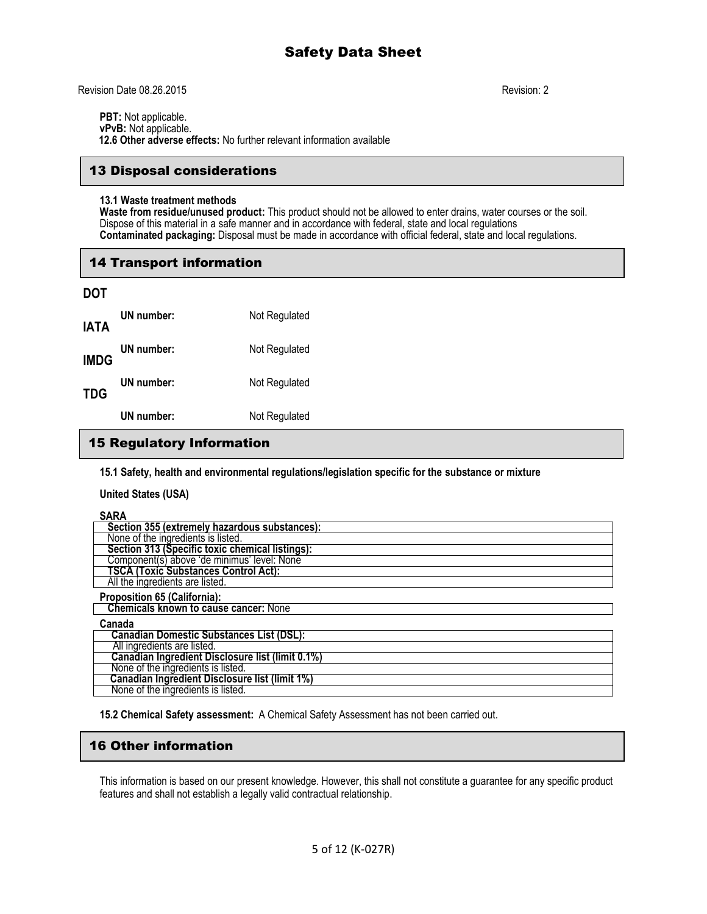Revision Date 08.26.2015 Revision: 2

**PBT:** Not applicable. **vPvB:** Not applicable.

 **12.6 Other adverse effects:** No further relevant information available

## 13 Disposal considerations

#### **13.1 Waste treatment methods**

**Waste from residue/unused product:** This product should not be allowed to enter drains, water courses or the soil. Dispose of this material in a safe manner and in accordance with federal, state and local regulations **Contaminated packaging:** Disposal must be made in accordance with official federal, state and local regulations.

## 14 Transport information

| <b>DOT</b>  |            |               |
|-------------|------------|---------------|
| <b>IATA</b> | UN number: | Not Regulated |
| <b>IMDG</b> | UN number: | Not Regulated |
| <b>TDG</b>  | UN number: | Not Regulated |
|             | UN number: | Not Regulated |

## 15 Regulatory Information

**15.1 Safety, health and environmental regulations/legislation specific for the substance or mixture**

**United States (USA)**

**SARA**

| vana                                                  |
|-------------------------------------------------------|
| Section 355 (extremely hazardous substances):         |
| None of the ingredients is listed.                    |
| Section 313 (Specific toxic chemical listings):       |
| Component(s) above 'de minimus' level: None           |
| <b>TSCA (Toxic Substances Control Act):</b>           |
| All the ingredients are listed.                       |
| <b>Proposition 65 (California):</b>                   |
| <b>Chemicals known to cause cancer: None</b>          |
| Canada                                                |
| <b>Canadian Domestic Substances List (DSL):</b>       |
| All ingredients are listed.                           |
| Canadian Ingredient Disclosure list (limit 0.1%)      |
| None of the ingredients is listed.                    |
| <b>Canadian Ingredient Disclosure list (limit 1%)</b> |
| None of the ingredients is listed.                    |

**15.2 Chemical Safety assessment:** A Chemical Safety Assessment has not been carried out.

## 16 Other information

This information is based on our present knowledge. However, this shall not constitute a guarantee for any specific product features and shall not establish a legally valid contractual relationship.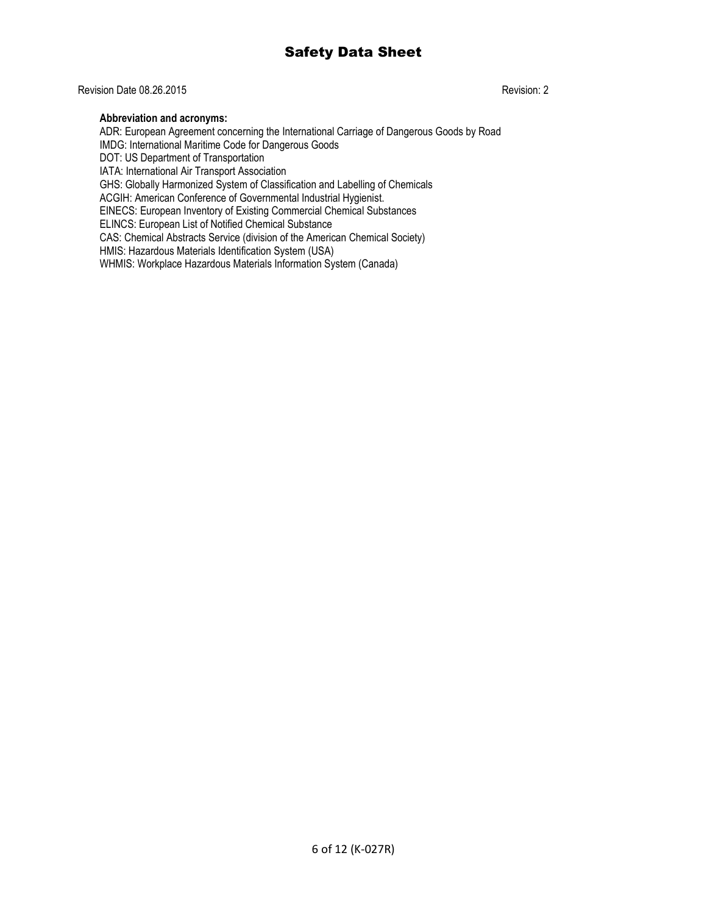## Revision Date 08.26.2015 Revision: 2

#### **Abbreviation and acronyms:**

ADR: European Agreement concerning the International Carriage of Dangerous Goods by Road IMDG: International Maritime Code for Dangerous Goods DOT: US Department of Transportation IATA: International Air Transport Association GHS: Globally Harmonized System of Classification and Labelling of Chemicals ACGIH: American Conference of Governmental Industrial Hygienist. EINECS: European Inventory of Existing Commercial Chemical Substances ELINCS: European List of Notified Chemical Substance CAS: Chemical Abstracts Service (division of the American Chemical Society) HMIS: Hazardous Materials Identification System (USA) WHMIS: Workplace Hazardous Materials Information System (Canada)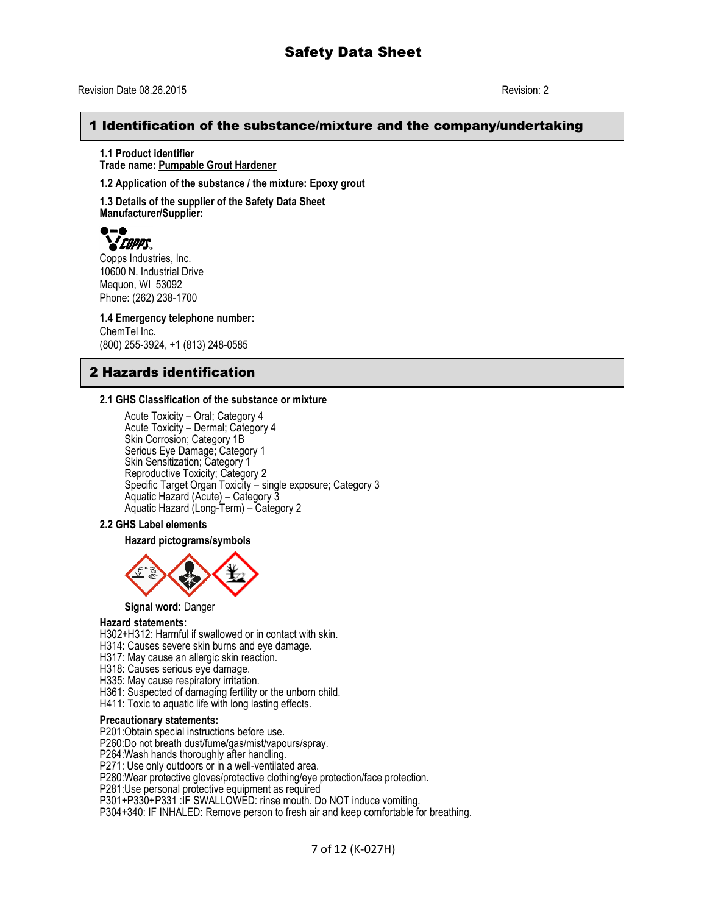## 1 Identification of the substance/mixture and the company/undertaking

**1.1 Product identifier Trade name: Pumpable Grout Hardener**

**1.2 Application of the substance / the mixture: Epoxy grout**

**1.3 Details of the supplier of the Safety Data Sheet Manufacturer/Supplier:**



Copps Industries, Inc. 10600 N. Industrial Drive Mequon, WI 53092 Phone: (262) 238-1700

**1.4 Emergency telephone number:** ChemTel Inc.

(800) 255-3924, +1 (813) 248-0585

## 2 Hazards identification

#### **2.1 GHS Classification of the substance or mixture**

Acute Toxicity – Oral; Category 4 Acute Toxicity – Dermal; Category 4 Skin Corrosion; Category 1B Serious Eye Damage; Category 1 Skin Sensitization; Category 1 Reproductive Toxicity; Category 2 Specific Target Organ Toxicity – single exposure; Category 3 Aquatic Hazard (Acute) – Category 3 Aquatic Hazard (Long-Term) – Category 2

#### **2.2 GHS Label elements**

#### **Hazard pictograms/symbols**



**Signal word:** Danger

#### **Hazard statements:**

H302+H312: Harmful if swallowed or in contact with skin.

H314: Causes severe skin burns and eye damage.

H317: May cause an allergic skin reaction.

- H318: Causes serious eye damage.
- H335: May cause respiratory irritation.
- H361: Suspected of damaging fertility or the unborn child.
- H411: Toxic to aquatic life with long lasting effects.

#### **Precautionary statements:**

P201:Obtain special instructions before use.

P260:Do not breath dust/fume/gas/mist/vapours/spray.

P264:Wash hands thoroughly after handling.

P271: Use only outdoors or in a well-ventilated area.

P280:Wear protective gloves/protective clothing/eye protection/face protection.

P281:Use personal protective equipment as required

P301+P330+P331 :IF SWALLOWED: rinse mouth. Do NOT induce vomiting.

P304+340: IF INHALED: Remove person to fresh air and keep comfortable for breathing.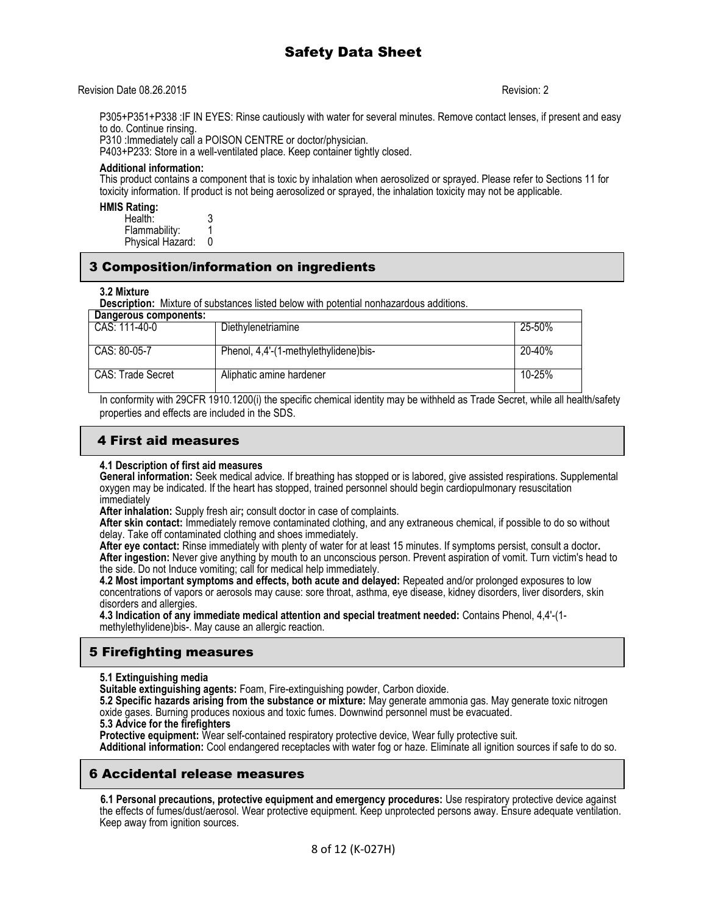#### Revision Date 08.26.2015 Revision: 2

P305+P351+P338 :IF IN EYES: Rinse cautiously with water for several minutes. Remove contact lenses, if present and easy to do. Continue rinsing.

P310 :Immediately call a POISON CENTRE or doctor/physician.

P403+P233: Store in a well-ventilated place. Keep container tightly closed.

#### **Additional information:**

This product contains a component that is toxic by inhalation when aerosolized or sprayed. Please refer to Sections 11 for toxicity information. If product is not being aerosolized or sprayed, the inhalation toxicity may not be applicable.

#### **HMIS Rating:**

| Health:          |  |
|------------------|--|
| Flammability:    |  |
| Physical Hazard: |  |

## 3 Composition/information on ingredients

#### **3.2 Mixture**

**Description:** Mixture of substances listed below with potential nonhazardous additions.

| Dangerous components: |                                       |        |
|-----------------------|---------------------------------------|--------|
| CAS: 111-40-0         | Diethylenetriamine                    | 25-50% |
| CAS: 80-05-7          | Phenol, 4,4'-(1-methylethylidene)bis- | 20-40% |
| CAS: Trade Secret     | Aliphatic amine hardener              | 10-25% |

In conformity with 29CFR 1910.1200(i) the specific chemical identity may be withheld as Trade Secret, while all health/safety properties and effects are included in the SDS.

## 4 First aid measures

#### **4.1 Description of first aid measures**

**General information:** Seek medical advice. If breathing has stopped or is labored, give assisted respirations. Supplemental oxygen may be indicated. If the heart has stopped, trained personnel should begin cardiopulmonary resuscitation immediately

**After inhalation:** Supply fresh air**;** consult doctor in case of complaints.

**After skin contact:** Immediately remove contaminated clothing, and any extraneous chemical, if possible to do so without delay. Take off contaminated clothing and shoes immediately.

**After eye contact:** Rinse immediately with plenty of water for at least 15 minutes. If symptoms persist, consult a doctor**. After ingestion:** Never give anything by mouth to an unconscious person. Prevent aspiration of vomit. Turn victim's head to the side. Do not Induce vomiting; call for medical help immediately.

**4.2 Most important symptoms and effects, both acute and delayed:** Repeated and/or prolonged exposures to low concentrations of vapors or aerosols may cause: sore throat, asthma, eye disease, kidney disorders, liver disorders, skin disorders and allergies.

**4.3 Indication of any immediate medical attention and special treatment needed:** Contains Phenol, 4,4'-(1 methylethylidene)bis-. May cause an allergic reaction.

# 5 Firefighting measures

**5.1 Extinguishing media**

**Suitable extinguishing agents:** Foam, Fire-extinguishing powder, Carbon dioxide.

**5.2 Specific hazards arising from the substance or mixture:** May generate ammonia gas. May generate toxic nitrogen oxide gases. Burning produces noxious and toxic fumes. Downwind personnel must be evacuated.

#### **5.3 Advice for the firefighters**

**Protective equipment:** Wear self-contained respiratory protective device, Wear fully protective suit.

**Additional information:** Cool endangered receptacles with water fog or haze. Eliminate all ignition sources if safe to do so.

## 6 Accidental release measures

 **6.1 Personal precautions, protective equipment and emergency procedures:** Use respiratory protective device against the effects of fumes/dust/aerosol. Wear protective equipment. Keep unprotected persons away. Ensure adequate ventilation. Keep away from ignition sources.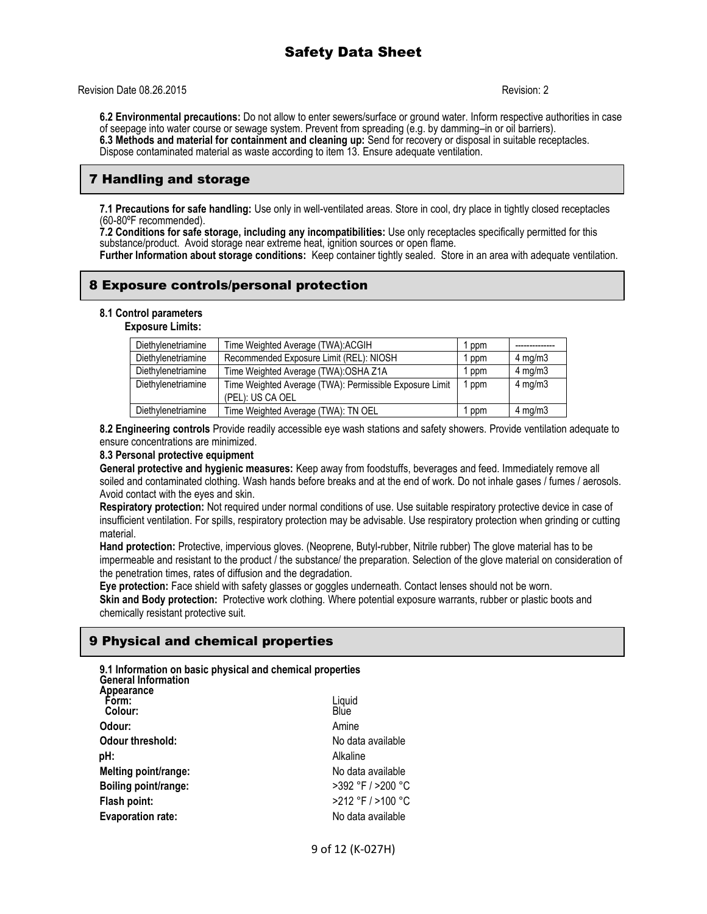Revision Date 08.26.2015 Revision: 2

**6.2 Environmental precautions:** Do not allow to enter sewers/surface or ground water. Inform respective authorities in case of seepage into water course or sewage system. Prevent from spreading (e.g. by damming–in or oil barriers). **6.3 Methods and material for containment and cleaning up:** Send for recovery or disposal in suitable receptacles. Dispose contaminated material as waste according to item 13. Ensure adequate ventilation.

## 7 Handling and storage

**7.1 Precautions for safe handling:** Use only in well-ventilated areas. Store in cool, dry place in tightly closed receptacles (60-80ºF recommended).

**7.2 Conditions for safe storage, including any incompatibilities:** Use only receptacles specifically permitted for this substance/product. Avoid storage near extreme heat, ignition sources or open flame.

**Further Information about storage conditions:** Keep container tightly sealed. Store in an area with adequate ventilation.

## 8 Exposure controls/personal protection

#### **8.1 Control parameters**

**Exposure Limits:**

| Diethylenetriamine | Time Weighted Average (TWA):ACGIH                       | ppm   |                  |
|--------------------|---------------------------------------------------------|-------|------------------|
| Diethylenetriamine | Recommended Exposure Limit (REL): NIOSH                 | ppm   | $4$ mg/m $3$     |
| Diethylenetriamine | Time Weighted Average (TWA): OSHA Z1A                   | ppm   | $4$ mg/m $3$     |
| Diethylenetriamine | Time Weighted Average (TWA): Permissible Exposure Limit | l ppm | $4 \text{ mg/m}$ |
|                    | (PEL): US CA OEL                                        |       |                  |
| Diethylenetriamine | Time Weighted Average (TWA): TN OEL                     | ppm   | $4$ mg/m $3$     |

**8.2 Engineering controls** Provide readily accessible eye wash stations and safety showers. Provide ventilation adequate to ensure concentrations are minimized.

#### **8.3 Personal protective equipment**

**General protective and hygienic measures:** Keep away from foodstuffs, beverages and feed. Immediately remove all soiled and contaminated clothing. Wash hands before breaks and at the end of work. Do not inhale gases / fumes / aerosols. Avoid contact with the eyes and skin.

**Respiratory protection:** Not required under normal conditions of use. Use suitable respiratory protective device in case of insufficient ventilation. For spills, respiratory protection may be advisable. Use respiratory protection when grinding or cutting material.

**Hand protection:** Protective, impervious gloves. (Neoprene, Butyl-rubber, Nitrile rubber) The glove material has to be impermeable and resistant to the product / the substance/ the preparation. Selection of the glove material on consideration of the penetration times, rates of diffusion and the degradation.

**Eye protection:** Face shield with safety glasses or goggles underneath. Contact lenses should not be worn. **Skin and Body protection:** Protective work clothing. Where potential exposure warrants, rubber or plastic boots and chemically resistant protective suit.

## 9 Physical and chemical properties

**9.1 Information on basic physical and chemical properties General Information**

| Appearance<br>Form:<br>Colour: | Liquid<br>Blúe    |
|--------------------------------|-------------------|
| Odour:                         | Amine             |
| <b>Odour threshold:</b>        | No data available |
| pH:                            | Alkaline          |
| Melting point/range:           | No data available |
| Boiling point/range:           | >392 °F / >200 °C |
| Flash point:                   | >212 °F / >100 °C |
| <b>Evaporation rate:</b>       | No data available |
|                                |                   |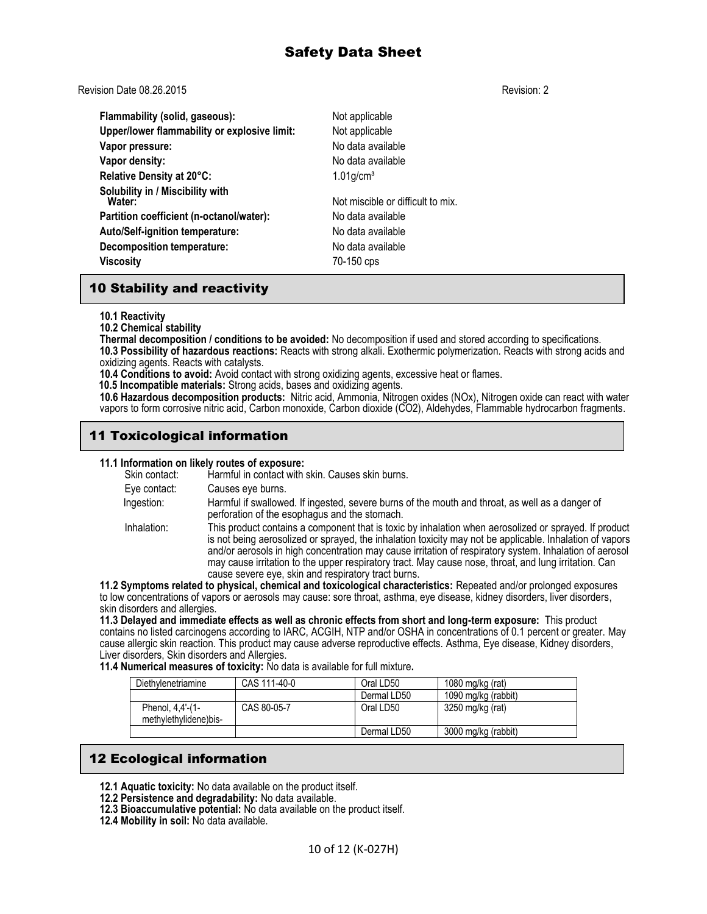Revision Date 08.26.2015 Revision: 2

**Flammability (solid, gaseous):** Not applicable **Upper/lower flammability or explosive limit:** Not applicable **Vapor pressure:** No data available **Vapor density:** No data available **Relative Density at 20°C:** 1.01g/cm<sup>3</sup> **Solubility in / Miscibility with** Not miscible or difficult to mix. **Partition coefficient (n-octanol/water):** No data available **Auto/Self-ignition temperature:** No data available **Decomposition temperature:** No data available **Viscosity** 70-150 cps

## 10 Stability and reactivity

#### **10.1 Reactivity**

**10.2 Chemical stability**

**Thermal decomposition / conditions to be avoided:** No decomposition if used and stored according to specifications. **10.3 Possibility of hazardous reactions:** Reacts with strong alkali. Exothermic polymerization. Reacts with strong acids and oxidizing agents. Reacts with catalysts.

**10.4 Conditions to avoid:** Avoid contact with strong oxidizing agents, excessive heat or flames.

 **10.5 Incompatible materials:** Strong acids, bases and oxidizing agents.

**10.6 Hazardous decomposition products:** Nitric acid, Ammonia, Nitrogen oxides (NOx), Nitrogen oxide can react with water vapors to form corrosive nitric acid, Carbon monoxide, Carbon dioxide (CO2), Aldehydes, Flammable hydrocarbon fragments.

## 11 Toxicological information

# **11.1 Information on likely routes of exposure:**

Harmful in contact with skin. Causes skin burns. Eye contact: Causes eye burns. Ingestion: Harmful if swallowed. If ingested, severe burns of the mouth and throat, as well as a danger of perforation of the esophagus and the stomach. Inhalation: This product contains a component that is toxic by inhalation when aerosolized or sprayed. If product is not being aerosolized or sprayed, the inhalation toxicity may not be applicable. Inhalation of vapors and/or aerosols in high concentration may cause irritation of respiratory system. Inhalation of aerosol may cause irritation to the upper respiratory tract. May cause nose, throat, and lung irritation. Can cause severe eye, skin and respiratory tract burns. **11.2 Symptoms related to physical, chemical and toxicological characteristics:** Repeated and/or prolonged exposures

to low concentrations of vapors or aerosols may cause: sore throat, asthma, eye disease, kidney disorders, liver disorders, skin disorders and allergies.

**11.3 Delayed and immediate effects as well as chronic effects from short and long-term exposure:** This product contains no listed carcinogens according to IARC, ACGIH, NTP and/or OSHA in concentrations of 0.1 percent or greater. May cause allergic skin reaction. This product may cause adverse reproductive effects. Asthma, Eye disease, Kidney disorders, Liver disorders, Skin disorders and Allergies.

**11.4 Numerical measures of toxicity:** No data is available for full mixture**.** 

| Diethylenetriamine                        | CAS 111-40-0 | Oral LD50   | 1080 mg/kg $(rat)$  |
|-------------------------------------------|--------------|-------------|---------------------|
|                                           |              | Dermal LD50 | 1090 mg/kg (rabbit) |
| Phenol, 4,4'-(1-<br>methylethylidene)bis- | CAS 80-05-7  | Oral LD50   | 3250 mg/kg (rat)    |
|                                           |              | Dermal LD50 | 3000 mg/kg (rabbit) |

## 12 Ecological information

- **12.1 Aquatic toxicity:** No data available on the product itself.
- **12.2 Persistence and degradability:** No data available.
- **12.3 Bioaccumulative potential:** No data available on the product itself.
- **12.4 Mobility in soil:** No data available.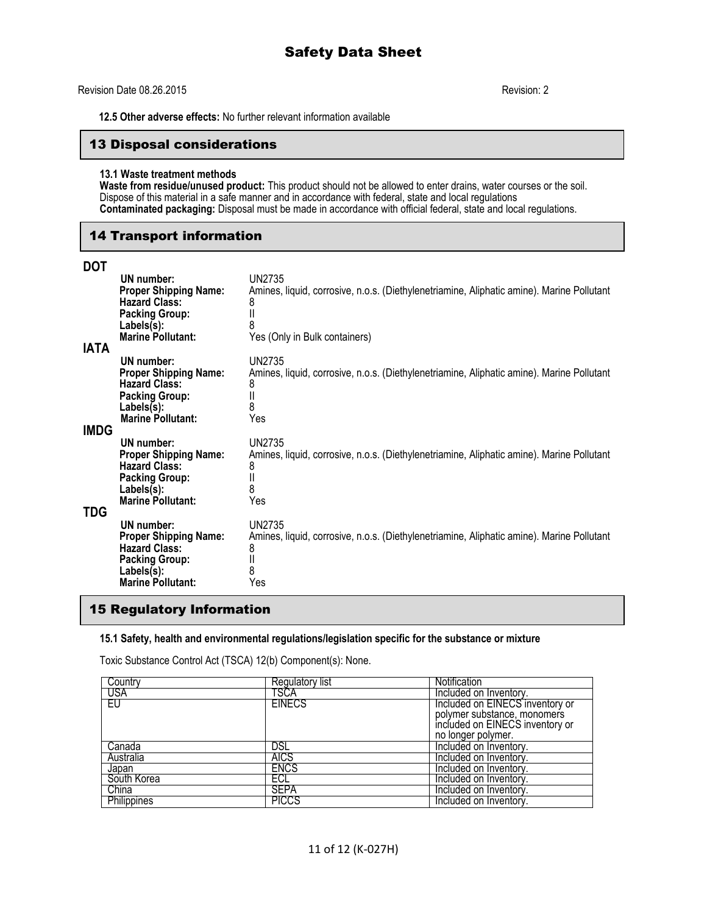#### Revision Date 08.26.2015 Revision: 2

 **12.5 Other adverse effects:** No further relevant information available

#### 13 Disposal considerations

#### **13.1 Waste treatment methods**

**Waste from residue/unused product:** This product should not be allowed to enter drains, water courses or the soil. Dispose of this material in a safe manner and in accordance with federal, state and local regulations **Contaminated packaging:** Disposal must be made in accordance with official federal, state and local regulations.

## 14 Transport information

#### **DOT**

| יש<br><b>IATA</b> | <b>UN</b> number:<br><b>Proper Shipping Name:</b><br><b>Hazard Class:</b><br><b>Packing Group:</b><br>Labels(s):<br><b>Marine Pollutant:</b> | UN2735<br>Amines, liquid, corrosive, n.o.s. (Diethylenetriamine, Aliphatic amine). Marine Pollutant<br>8<br>8<br>Yes (Only in Bulk containers) |
|-------------------|----------------------------------------------------------------------------------------------------------------------------------------------|------------------------------------------------------------------------------------------------------------------------------------------------|
| <b>IMDG</b>       | UN number:<br><b>Proper Shipping Name:</b><br><b>Hazard Class:</b><br><b>Packing Group:</b><br>Labels(s):<br><b>Marine Pollutant:</b>        | UN2735<br>Amines, liquid, corrosive, n.o.s. (Diethylenetriamine, Aliphatic amine). Marine Pollutant<br>8<br>8<br>Yes                           |
| TDG               | UN number:<br><b>Proper Shipping Name:</b><br><b>Hazard Class:</b><br><b>Packing Group:</b><br>Labels(s):<br><b>Marine Pollutant:</b>        | UN2735<br>Amines, liquid, corrosive, n.o.s. (Diethylenetriamine, Aliphatic amine). Marine Pollutant<br>8<br>8<br>Yes                           |
|                   | UN number:<br><b>Proper Shipping Name:</b><br><b>Hazard Class:</b><br><b>Packing Group:</b><br>Labels(s):<br><b>Marine Pollutant:</b>        | UN2735<br>Amines, liquid, corrosive, n.o.s. (Diethylenetriamine, Aliphatic amine). Marine Pollutant<br>8<br>8<br>Yes                           |

## 15 Regulatory Information

#### **15.1 Safety, health and environmental regulations/legislation specific for the substance or mixture**

Toxic Substance Control Act (TSCA) 12(b) Component(s): None.

| Country     | Regulatory list | Notification                    |
|-------------|-----------------|---------------------------------|
| USA         | TSCA            | Included on Inventory.          |
| EU          | <b>EINECS</b>   | Included on EINECS inventory or |
|             |                 | polymer substance, monomers     |
|             |                 | included on EINECS inventory or |
|             |                 | no longer polymer.              |
| Canada      | DSL             | Included on Inventory.          |
| Australia   | <b>AICS</b>     | Included on Inventory.          |
| Japan       | <b>ENCS</b>     | Included on Inventory.          |
| South Korea | ECL             | Included on Inventory.          |
| China       | <b>SEPA</b>     | Included on Inventory.          |
| Philippines | <b>PICCS</b>    | Included on Inventory.          |